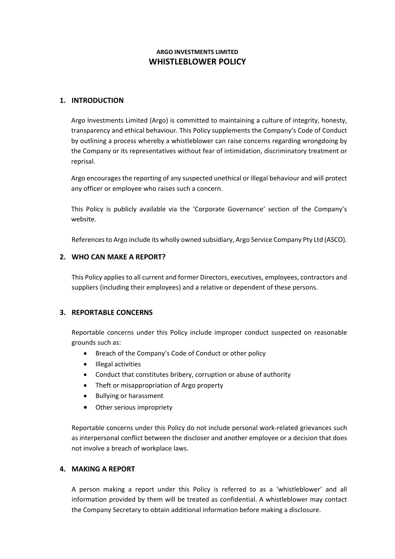# **ARGO INVESTMENTS LIMITED WHISTLEBLOWER POLICY**

### **1. INTRODUCTION**

Argo Investments Limited (Argo) is committed to maintaining a culture of integrity, honesty, transparency and ethical behaviour. This Policy supplements the Company's Code of Conduct by outlining a process whereby a whistleblower can raise concerns regarding wrongdoing by the Company or its representatives without fear of intimidation, discriminatory treatment or reprisal.

Argo encourages the reporting of any suspected unethical or illegal behaviour and will protect any officer or employee who raises such a concern.

This Policy is publicly available via the 'Corporate Governance' section of the Company's website.

References to Argo include its wholly owned subsidiary, Argo Service Company Pty Ltd (ASCO).

### **2. WHO CAN MAKE A REPORT?**

This Policy applies to all current and former Directors, executives, employees, contractors and suppliers (including their employees) and a relative or dependent of these persons.

## **3. REPORTABLE CONCERNS**

Reportable concerns under this Policy include improper conduct suspected on reasonable grounds such as:

- Breach of the Company's Code of Conduct or other policy
- Illegal activities
- Conduct that constitutes bribery, corruption or abuse of authority
- Theft or misappropriation of Argo property
- Bullying or harassment
- Other serious impropriety

Reportable concerns under this Policy do not include personal work-related grievances such as interpersonal conflict between the discloser and another employee or a decision that does not involve a breach of workplace laws.

#### **4. MAKING A REPORT**

A person making a report under this Policy is referred to as a 'whistleblower' and all information provided by them will be treated as confidential. A whistleblower may contact the Company Secretary to obtain additional information before making a disclosure.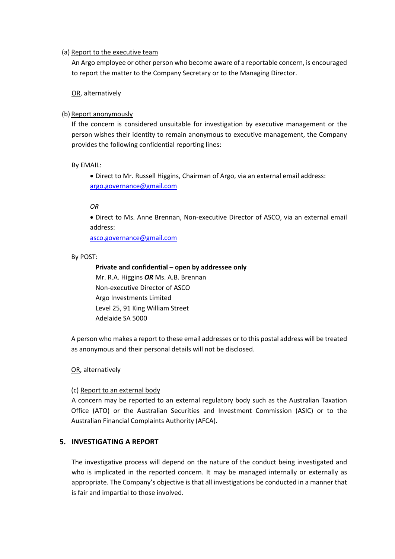#### (a) Report to the executive team

An Argo employee or other person who become aware of a reportable concern, is encouraged to report the matter to the Company Secretary or to the Managing Director.

OR, alternatively

### (b) Report anonymously

If the concern is considered unsuitable for investigation by executive management or the person wishes their identity to remain anonymous to executive management, the Company provides the following confidential reporting lines:

By EMAIL:

• Direct to Mr. Russell Higgins, Chairman of Argo, via an external email address: [argo.governance@gmail.com](mailto:argo.governance@gmail.com)

#### *OR*

• Direct to Ms. Anne Brennan, Non-executive Director of ASCO, via an external email address:

asco.governance@gmail.com

#### By POST:

**Private and confidential – open by addressee only** Mr. R.A. Higgins *OR* Ms. A.B. Brennan Non-executive Director of ASCO Argo Investments Limited Level 25, 91 King William Street Adelaide SA 5000

A person who makes a report to these email addresses or to this postal address will be treated as anonymous and their personal details will not be disclosed.

OR, alternatively

#### (c) Report to an external body

A concern may be reported to an external regulatory body such as the Australian Taxation Office (ATO) or the Australian Securities and Investment Commission (ASIC) or to the Australian Financial Complaints Authority (AFCA).

## **5. INVESTIGATING A REPORT**

The investigative process will depend on the nature of the conduct being investigated and who is implicated in the reported concern. It may be managed internally or externally as appropriate. The Company's objective is that all investigations be conducted in a manner that is fair and impartial to those involved.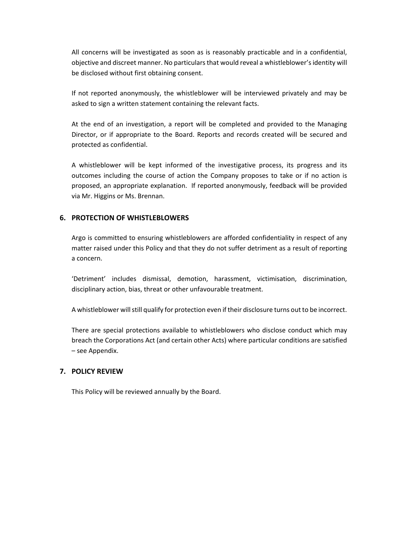All concerns will be investigated as soon as is reasonably practicable and in a confidential, objective and discreet manner. No particulars that would reveal a whistleblower's identity will be disclosed without first obtaining consent.

If not reported anonymously, the whistleblower will be interviewed privately and may be asked to sign a written statement containing the relevant facts.

At the end of an investigation, a report will be completed and provided to the Managing Director, or if appropriate to the Board. Reports and records created will be secured and protected as confidential.

A whistleblower will be kept informed of the investigative process, its progress and its outcomes including the course of action the Company proposes to take or if no action is proposed, an appropriate explanation. If reported anonymously, feedback will be provided via Mr. Higgins or Ms. Brennan.

## **6. PROTECTION OF WHISTLEBLOWERS**

Argo is committed to ensuring whistleblowers are afforded confidentiality in respect of any matter raised under this Policy and that they do not suffer detriment as a result of reporting a concern.

'Detriment' includes dismissal, demotion, harassment, victimisation, discrimination, disciplinary action, bias, threat or other unfavourable treatment.

A whistleblower will still qualify for protection even if their disclosure turns out to be incorrect.

There are special protections available to whistleblowers who disclose conduct which may breach the Corporations Act (and certain other Acts) where particular conditions are satisfied – see Appendix.

## **7. POLICY REVIEW**

This Policy will be reviewed annually by the Board.